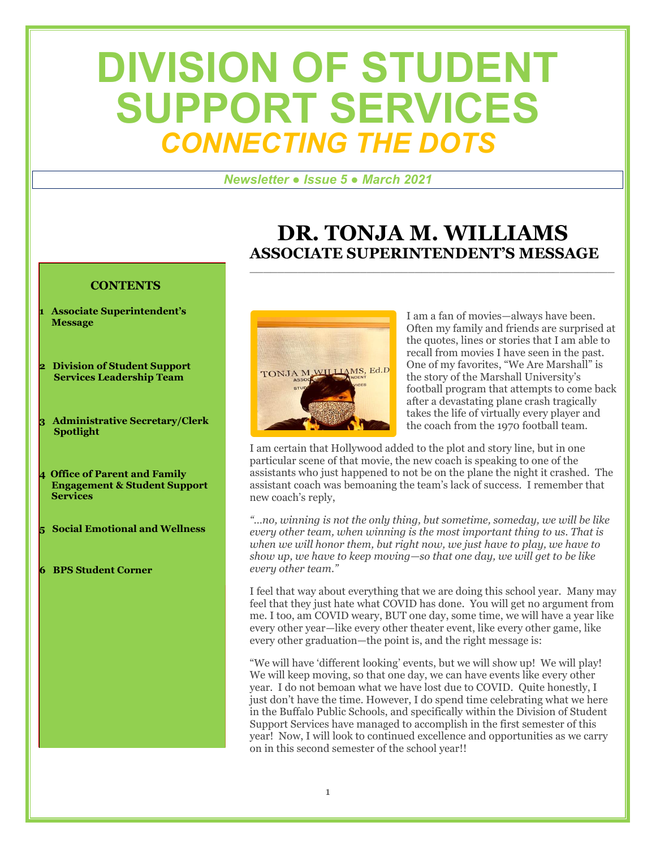# **DIVISION OF STUDENT SUPPORT SERVICES** *CONNECTING THE DOTS*

#### *Newsletter ● Issue 5 ● March 2021*

#### **DR. TONJA M. WILLIAMS ASSOCIATE SUPERINTENDENT'S MESSAGE** \_\_\_\_\_\_\_\_\_\_\_\_\_\_\_\_\_\_\_\_\_\_\_\_\_\_\_\_\_\_\_\_\_\_\_\_\_\_\_\_\_\_\_\_\_\_\_\_\_\_\_\_\_

#### **CONTENTS**

- **1 Associate Superintendent's Message**
- **2 Division of Student Support Services Leadership Team**
- **3 Administrative Secretary/Clerk Spotlight**
- **4 Office of Parent and Family Engagement & Student Support Services**
- **5 Social Emotional and Wellness**
- **6 BPS Student Corner**



I am a fan of movies—always have been. Often my family and friends are surprised at the quotes, lines or stories that I am able to recall from movies I have seen in the past. One of my favorites, "We Are Marshall" is the story of the Marshall University's football program that attempts to come back after a devastating plane crash tragically takes the life of virtually every player and the coach from the 1970 football team.

I am certain that Hollywood added to the plot and story line, but in one particular scene of that movie, the new coach is speaking to one of the assistants who just happened to not be on the plane the night it crashed. The assistant coach was bemoaning the team's lack of success. I remember that new coach's reply,

*"…no, winning is not the only thing, but sometime, someday, we will be like every other team, when winning is the most important thing to us. That is when we will honor them, but right now, we just have to play, we have to show up, we have to keep moving—so that one day, we will get to be like every other team."*

I feel that way about everything that we are doing this school year. Many may feel that they just hate what COVID has done. You will get no argument from me. I too, am COVID weary, BUT one day, some time, we will have a year like every other year—like every other theater event, like every other game, like every other graduation—the point is, and the right message is:

"We will have 'different looking' events, but we will show up! We will play! We will keep moving, so that one day, we can have events like every other year. I do not bemoan what we have lost due to COVID. Quite honestly, I just don't have the time. However, I do spend time celebrating what we here in the Buffalo Public Schools, and specifically within the Division of Student Support Services have managed to accomplish in the first semester of this year! Now, I will look to continued excellence and opportunities as we carry on in this second semester of the school year!!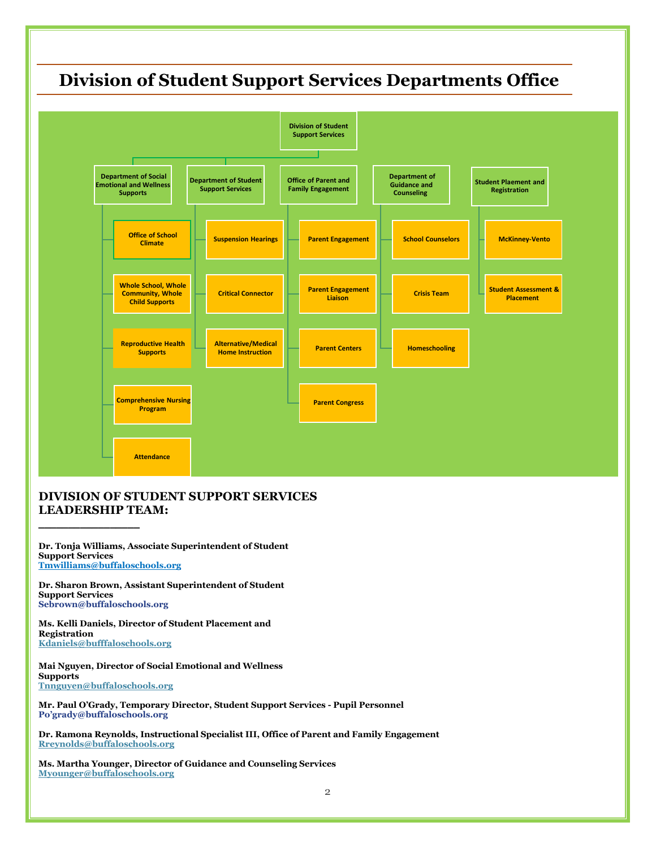### **Division of Student Support Services Departments Office**



#### **DIVISION OF STUDENT SUPPORT SERVICES LEADERSHIP TEAM:**

**Dr. Tonja Williams, Associate Superintendent of Student Support Services [Tmwilliams@buffaloschools.org](mailto:Tmwilliams@buffaloschools.org)**

**\_\_\_\_\_\_\_\_\_\_\_\_\_\_\_\_\_**

**Dr. Sharon Brown, Assistant Superintendent of Student Support Services Sebrown@buffaloschools.org**

**Ms. Kelli Daniels, Director of Student Placement and Registration [Kdaniels@bufffaloschools.org](mailto:Kdaniels@bufffaloschools.org)**

**Mai Nguyen, Director of Social Emotional and Wellness Supports [Tnnguyen@buffaloschools.org](mailto:Tnnguyen@buffaloschools.org)**

**Mr. Paul O'Grady, Temporary Director, Student Support Services - Pupil Personnel Po'grady@buffaloschools.org**

**Dr. Ramona Reynolds, Instructional Specialist III, Office of Parent and Family Engagement [Rreynolds@buffaloschools.org](mailto:Rreynolds@buffaloschools.org)**

**Ms. Martha Younger, Director of Guidance and Counseling Services [Myounger@buffaloschools.org](mailto:Myounger@buffaloschools.org)**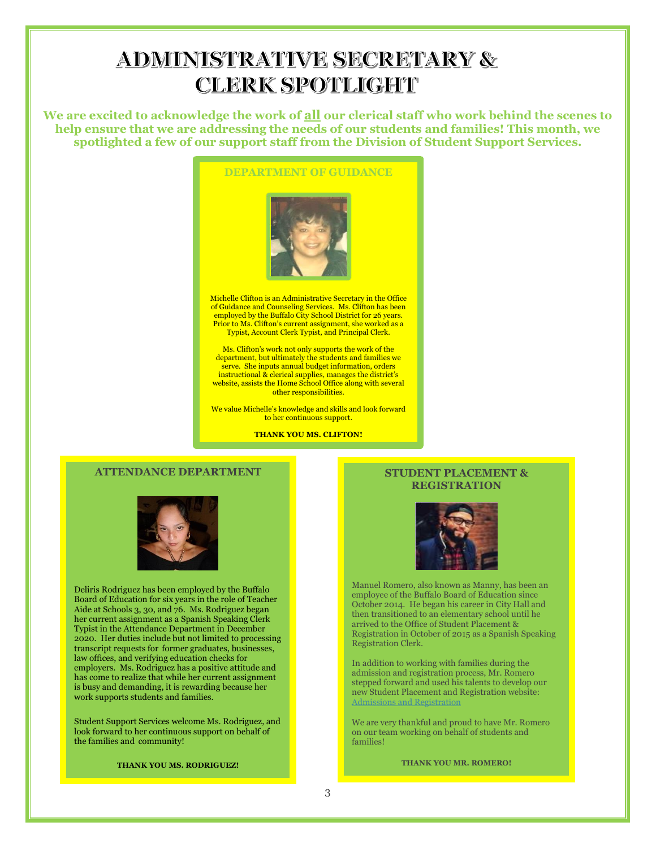### **ADMINISTRATIVE SECRETARY & CLERK SPOTLIGHT**

**We are excited to acknowledge the work of all our clerical staff who work behind the scenes to help ensure that we are addressing the needs of our students and families! This month, we spotlighted a few of our support staff from the Division of Student Support Services.**



Michelle Clifton is an Administrative Secretary in the Office of Guidance and Counseling Services. Ms. Clifton has been employed by the Buffalo City School District for 26 years. Prior to Ms. Clifton's current assignment, she worked as a Typist, Account Clerk Typist, and Principal Clerk.

Ms. Clifton's work not only supports the work of the department, but ultimately the students and families we serve. She inputs annual budget information, orders instructional & clerical supplies, manages the district's website, assists the Home School Office along with several other responsibilities.

We value Michelle's knowledge and skills and look forward to her continuous support.

**THANK YOU MS. CLIFTON!**

#### **ATTENDANCE DEPARTMENT**



Deliris Rodriguez has been employed by the Buffalo Board of Education for six years in the role of Teacher Aide at Schools 3, 30, and 76. Ms. Rodriguez began her current assignment as a Spanish Speaking Clerk Typist in the Attendance Department in December 2020. Her duties include but not limited to processing transcript requests for former graduates, businesses, law offices, and verifying education checks for employers. Ms. Rodriguez has a positive attitude and has come to realize that while her current assignment is busy and demanding, it is rewarding because her work supports students and families.

Student Support Services welcome Ms. Rodriguez, and look forward to her continuous support on behalf of the families and community!

**THANK YOU MS. RODRIGUEZ!**

#### **STUDENT PLACEMENT & REGISTRATION**



Manuel Romero, also known as Manny, has been an employee of the Buffalo Board of Education since October 2014. He began his career in City Hall and then transitioned to an elementary school until he arrived to the Office of Student Placement & Registration in October of 2015 as a Spanish Speaking Registration Clerk.

In addition to working with families during the admission and registration process, Mr. Romero stepped forward and used his talents to develop our new Student Placement and Registration website: [Admissions and Registration](file:///C:/Users/Sbrow187/Downloads/Admissions%20and%20Registration)

We are very thankful and proud to have Mr. Romero on our team working on behalf of students and families!

**THANK YOU MR. ROMERO!**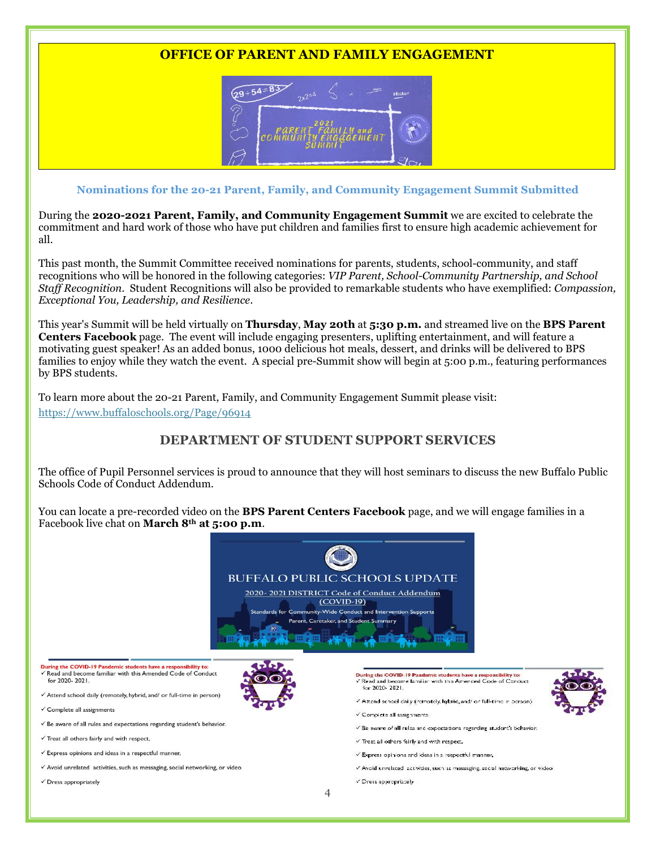#### **OFFICE OF PARENT AND FAMILY ENGAGEMENT**



#### **Nominations for the 20-21 Parent, Family, and Community Engagement Summit Submitted**

During the **2020-2021 Parent, Family, and Community Engagement Summit** we are excited to celebrate the commitment and hard work of those who have put children and families first to ensure high academic achievement for all.

This past month, the Summit Committee received nominations for parents, students, school-community, and staff recognitions who will be honored in the following categories: *VIP Parent, School-Community Partnership, and School Staff Recognition*. Student Recognitions will also be provided to remarkable students who have exemplified: *Compassion, Exceptional You, Leadership, and Resilience*.

This year's Summit will be held virtually on **Thursday**, **May 20th** at **5:30 p.m.** and streamed live on the **BPS Parent Centers Facebook** page. The event will include engaging presenters, uplifting entertainment, and will feature a motivating guest speaker! As an added bonus, 1000 delicious hot meals, dessert, and drinks will be delivered to BPS families to enjoy while they watch the event. A special pre-Summit show will begin at 5:00 p.m., featuring performances by BPS students.

To learn more about the 20-21 Parent, Family, and Community Engagement Summit please visit: <https://www.buffaloschools.org/Page/96914>

#### **DEPARTMENT OF STUDENT SUPPORT SERVICES**

The office of Pupil Personnel services is proud to announce that they will host seminars to discuss the new Buffalo Public Schools Code of Conduct Addendum.

You can locate a pre-recorded video on the **BPS Parent Centers Facebook** page, and we will engage families in a Facebook live chat on **March 8th at 5:00 p.m**.



u<mark>ring the COVID-19 Pandemic students have a responsibility to:</mark><br>' Read and become familiar with this Amended Code of Conduct for 2020-2021.

- √ Attend school daily (remotely, hybrid, and/ or full-time in person)
- ✓ Complete all assignments
- ✔ Be aware of all rules and expectations regarding student's behavior.
- √ Treat all others fairly and with respect,
- $\checkmark$  Express opinions and ideas in a respectful manner,
- √ Avoid unrelated activities, such as messaging, social networking, or video
- $\checkmark$  Dress appropriately
- During the COVID-19 Pander .<br>10-19 Pandemic students have a responsibility to:<br>:ome familiar with this Amended Code of Conduct for 2020-2021.
	- Attend school daily (romotoly, hybrid, and/ or full-time in person
	- Complete all assignments
	- Be aware of all rules and expectations regarding student's behavior.
- Treat all others fairly and with respect,
- Express opinions and ideas in a respectful manner,
- v Avoid unrelated lactivities, such as messaging, social networking, or video
- √ Dress appropriately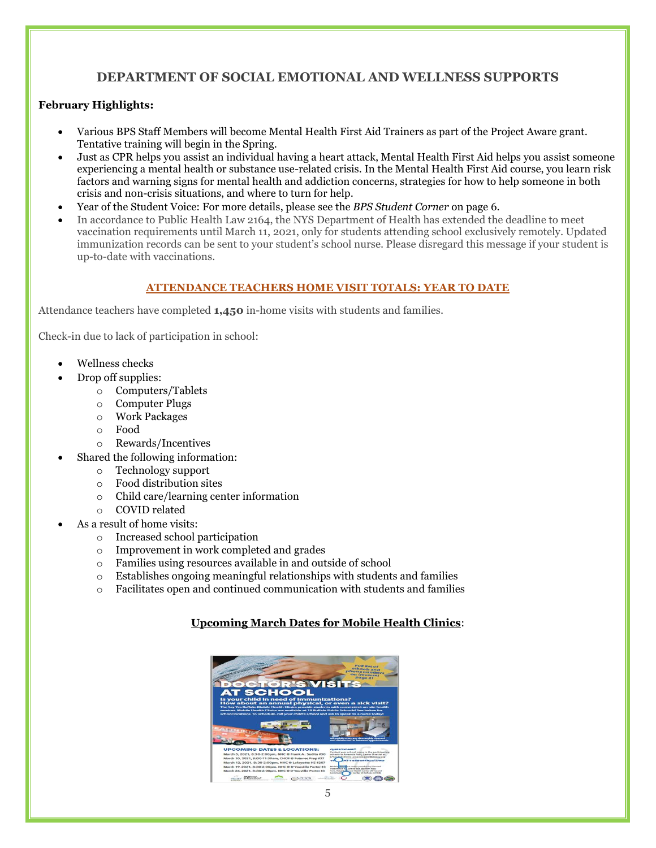#### **DEPARTMENT OF SOCIAL EMOTIONAL AND WELLNESS SUPPORTS**

#### **February Highlights:**

- Various BPS Staff Members will become Mental Health First Aid Trainers as part of the Project Aware grant. Tentative training will begin in the Spring.
- Just as CPR helps you assist an individual having a heart attack, Mental Health First Aid helps you assist someone experiencing a mental health or substance use-related crisis. In the Mental Health First Aid course, you learn risk factors and warning signs for mental health and addiction concerns, strategies for how to help someone in both crisis and non-crisis situations, and where to turn for help.
- Year of the Student Voice: For more details, please see the *BPS Student Corner* on page 6.
- In accordance to Public Health Law 2164, the NYS Department of Health has extended the deadline to meet vaccination requirements until March 11, 2021, only for students attending school exclusively remotely. Updated immunization records can be sent to your student's school nurse. Please disregard this message if your student is up-to-date with vaccinations.

#### **ATTENDANCE TEACHERS HOME VISIT TOTALS: YEAR TO DATE**

Attendance teachers have completed **1,450** in-home visits with students and families.

Check-in due to lack of participation in school:

- Wellness checks
- Drop off supplies:
	- o Computers/Tablets
	- o Computer Plugs
	- o Work Packages
	- o Food
	- o Rewards/Incentives
- Shared the following information:
	- o Technology support
	- o Food distribution sites
	- o Child care/learning center information
	- o COVID related
- As a result of home visits:
	- o Increased school participation
	- o Improvement in work completed and grades
	- o Families using resources available in and outside of school
	- o Establishes ongoing meaningful relationships with students and families
	- o Facilitates open and continued communication with students and families

#### **Upcoming March Dates for Mobile Health Clinics**: